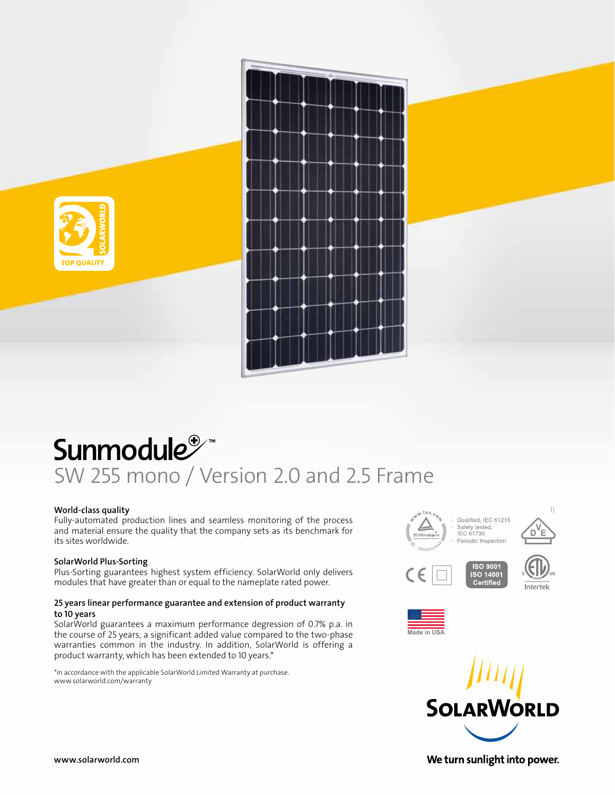

# Sunmodule<sup>®</sup> SW 255 mono / Version 2.0 and 2.5 Frame

# World-class quality

Fully-automated production lines and seamless monitoring of the process and material ensure the quality that the company sets as its benchmark for its sites worldwide.

# SolarWorld Plus-Sorting

Plus-Sorting guarantees highest system efficiency. SolarWorld only delivers modules that have greater than or equal to the nameplate rated power.

# 25 years linear performance guarantee and extension of product warranty to 10 years

SolarWorld guarantees a maximum performance degression of 0.7% p.a. in the course of 25 years, a significant added value compared to the two-phase warranties common in the industry. In addition, SolarWorld is offering a product warranty, which has been extended to 10 years.\*

\*in accordance with the applicable SolarWorld Limited Warranty at purchase. www.solarworld.com/warranty







www.solarworld.com

We turn sunlight into power.